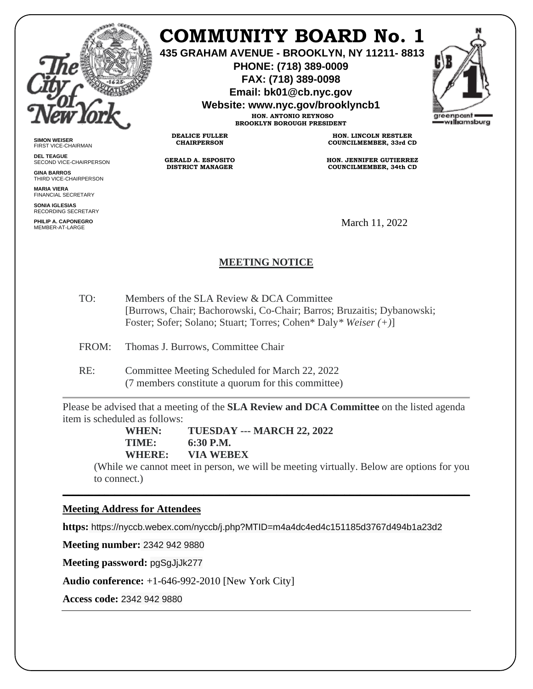

**SIMON WEISER** FIRST VICE-CHAIRMAN **DEL TEAGUE**

**GINA BARROS** THIRD VICE-CHAIRPERSON

**MARIA VIERA** FINANCIAL SECRETARY **SONIA IGLESIAS** RECORDING SECRETARY **PHILIP A. CAPONEGRO**

SECOND VICE-CHAIRPERSON

# **COMMUNITY BOARD No. 1**

**435 GRAHAM AVENUE - BROOKLYN, NY 11211- 8813**

**PHONE: (718) 389-0009 FAX: (718) 389-0098**

**Email: bk01@cb.nyc.gov**

**Website: www.nyc.gov/brooklyncb1**

**HON. ANTONIO REYNOSO BROOKLYN BOROUGH PRESIDENT**

**DEALICE FULLER CHAIRPERSON**

**GERALD A. ESPOSITO DISTRICT MANAGER**

**HON. LINCOLN RESTLER COUNCILMEMBER, 33rd CD**

**HON. JENNIFER GUTIERREZ COUNCILMEMBER, 34th CD**

March 11, 2022

# **MEETING NOTICE**

TO: Members of the SLA Review & DCA Committee [Burrows, Chair; Bachorowski, Co-Chair; Barros; Bruzaitis; Dybanowski; Foster; Sofer; Solano; Stuart; Torres; Cohen\* Daly*\* Weiser (+)*]

FROM: Thomas J. Burrows, Committee Chair

RE: Committee Meeting Scheduled for March 22, 2022 (7 members constitute a quorum for this committee)

Please be advised that a meeting of the **SLA Review and DCA Committee** on the listed agenda item is scheduled as follows:

> **WHEN: TUESDAY --- MARCH 22, 2022 TIME: 6:30 P.M. WHERE: VIA WEBEX**

(While we cannot meet in person, we will be meeting virtually. Below are options for you to connect.)

\_\_\_\_\_\_\_\_\_\_\_\_\_\_\_\_\_\_\_\_\_\_\_\_\_\_\_\_\_\_\_\_\_\_\_\_\_\_\_\_\_\_\_\_\_\_\_\_\_\_\_\_\_\_\_\_\_\_\_\_\_\_\_\_\_\_\_\_\_\_\_\_\_\_\_\_\_\_

## **Meeting Address for Attendees**

**https:** https://nyccb.webex.com/nyccb/j.php?MTID=m4a4dc4ed4c151185d3767d494b1a23d2

**Meeting number:** 2342 942 9880

**Meeting password:** pgSgJjJk277

**Audio conference:** +1-646-992-2010 [New York City]

**Access code:** 2342 942 9880

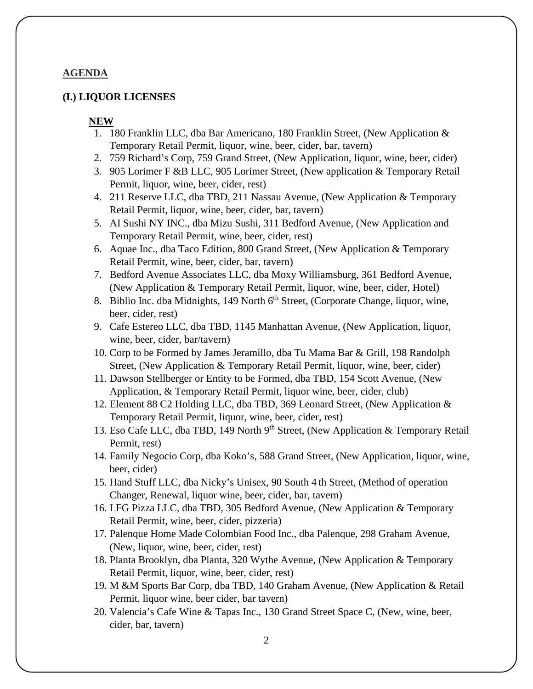#### **AGENDA**

#### **(I.) LIQUOR LICENSES**

#### **NEW**

- 1. 180 Franklin LLC, dba Bar Americano, 180 Franklin Street, (New Application & Temporary Retail Permit, liquor, wine, beer, cider, bar, tavern)
- 2. 759 Richard's Corp, 759 Grand Street, (New Application, liquor, wine, beer, cider)
- 3. 905 Lorimer F &B LLC, 905 Lorimer Street, (New application & Temporary Retail Permit, liquor, wine, beer, cider, rest)
- 4. 211 Reserve LLC, dba TBD, 211 Nassau Avenue, (New Application & Temporary Retail Permit, liquor, wine, beer, cider, bar, tavern)
- 5. AI Sushi NY INC., dba Mizu Sushi, 311 Bedford Avenue, (New Application and Temporary Retail Permit, wine, beer, cider, rest)
- 6. Aquae Inc., dba Taco Edition, 800 Grand Street, (New Application & Temporary Retail Permit, wine, beer, cider, bar, tavern)
- 7. Bedford Avenue Associates LLC, dba Moxy Williamsburg, 361 Bedford Avenue, (New Application & Temporary Retail Permit, liquor, wine, beer, cider, Hotel)
- 8. Biblio Inc. dba Midnights, 149 North  $6<sup>th</sup>$  Street, (Corporate Change, liquor, wine, beer, cider, rest)
- 9. Cafe Estereo LLC, dba TBD, 1145 Manhattan Avenue, (New Application, liquor, wine, beer, cider, bar/tavern)
- 10. Corp to be Formed by James Jeramillo, dba Tu Mama Bar & Grill, 198 Randolph Street, (New Application & Temporary Retail Permit, liquor, wine, beer, cider)
- 11. Dawson Stellberger or Entity to be Formed, dba TBD, 154 Scott Avenue, (New Application, & Temporary Retail Permit, liquor wine, beer, cider, club)
- 12. Element 88 C2 Holding LLC, dba TBD, 369 Leonard Street, (New Application & Temporary Retail Permit, liquor, wine, beer, cider, rest)
- 13. Eso Cafe LLC, dba TBD, 149 North 9th Street, (New Application & Temporary Retail Permit, rest)
- 14. Family Negocio Corp, dba Koko's, 588 Grand Street, (New Application, liquor, wine, beer, cider)
- 15. Hand Stuff LLC, dba Nicky's Unisex, 90 South 4 th Street, (Method of operation Changer, Renewal, liquor wine, beer, cider, bar, tavern)
- 16. LFG Pizza LLC, dba TBD, 305 Bedford Avenue, (New Application & Temporary Retail Permit, wine, beer, cider, pizzeria)
- 17. Palenque Home Made Colombian Food Inc., dba Palenque, 298 Graham Avenue, (New, liquor, wine, beer, cider, rest)
- 18. Planta Brooklyn, dba Planta, 320 Wythe Avenue, (New Application & Temporary Retail Permit, liquor, wine, beer, cider, rest)
- 19. M &M Sports Bar Corp, dba TBD, 140 Graham Avenue, (New Application & Retail Permit, liquor wine, beer cider, bar tavern)
- 20. Valencia's Cafe Wine & Tapas Inc., 130 Grand Street Space C, (New, wine, beer, cider, bar, tavern)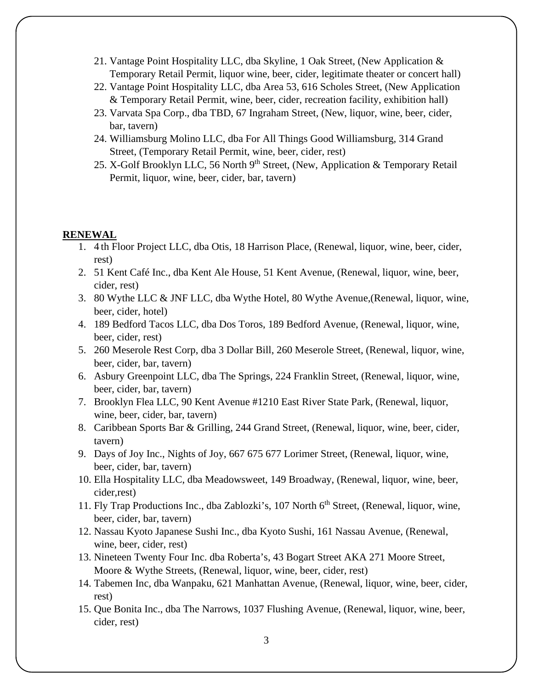- 21. Vantage Point Hospitality LLC, dba Skyline, 1 Oak Street, (New Application & Temporary Retail Permit, liquor wine, beer, cider, legitimate theater or concert hall)
- 22. Vantage Point Hospitality LLC, dba Area 53, 616 Scholes Street, (New Application & Temporary Retail Permit, wine, beer, cider, recreation facility, exhibition hall)
- 23. Varvata Spa Corp., dba TBD, 67 Ingraham Street, (New, liquor, wine, beer, cider, bar, tavern)
- 24. Williamsburg Molino LLC, dba For All Things Good Williamsburg, 314 Grand Street, (Temporary Retail Permit, wine, beer, cider, rest)
- 25. X-Golf Brooklyn LLC, 56 North 9<sup>th</sup> Street, (New, Application & Temporary Retail Permit, liquor, wine, beer, cider, bar, tavern)

#### **RENEWAL**

- 1. 4 th Floor Project LLC, dba Otis, 18 Harrison Place, (Renewal, liquor, wine, beer, cider, rest)
- 2. 51 Kent Café Inc., dba Kent Ale House, 51 Kent Avenue, (Renewal, liquor, wine, beer, cider, rest)
- 3. 80 Wythe LLC & JNF LLC, dba Wythe Hotel, 80 Wythe Avenue,(Renewal, liquor, wine, beer, cider, hotel)
- 4. 189 Bedford Tacos LLC, dba Dos Toros, 189 Bedford Avenue, (Renewal, liquor, wine, beer, cider, rest)
- 5. 260 Meserole Rest Corp, dba 3 Dollar Bill, 260 Meserole Street, (Renewal, liquor, wine, beer, cider, bar, tavern)
- 6. Asbury Greenpoint LLC, dba The Springs, 224 Franklin Street, (Renewal, liquor, wine, beer, cider, bar, tavern)
- 7. Brooklyn Flea LLC, 90 Kent Avenue #1210 East River State Park, (Renewal, liquor, wine, beer, cider, bar, tavern)
- 8. Caribbean Sports Bar & Grilling, 244 Grand Street, (Renewal, liquor, wine, beer, cider, tavern)
- 9. Days of Joy Inc., Nights of Joy, 667 675 677 Lorimer Street, (Renewal, liquor, wine, beer, cider, bar, tavern)
- 10. Ella Hospitality LLC, dba Meadowsweet, 149 Broadway, (Renewal, liquor, wine, beer, cider,rest)
- 11. Fly Trap Productions Inc., dba Zablozki's, 107 North 6<sup>th</sup> Street, (Renewal, liquor, wine, beer, cider, bar, tavern)
- 12. Nassau Kyoto Japanese Sushi Inc., dba Kyoto Sushi, 161 Nassau Avenue, (Renewal, wine, beer, cider, rest)
- 13. Nineteen Twenty Four Inc. dba Roberta's, 43 Bogart Street AKA 271 Moore Street, Moore & Wythe Streets, (Renewal, liquor, wine, beer, cider, rest)
- 14. Tabemen Inc, dba Wanpaku, 621 Manhattan Avenue, (Renewal, liquor, wine, beer, cider, rest)
- 15. Que Bonita Inc., dba The Narrows, 1037 Flushing Avenue, (Renewal, liquor, wine, beer, cider, rest)